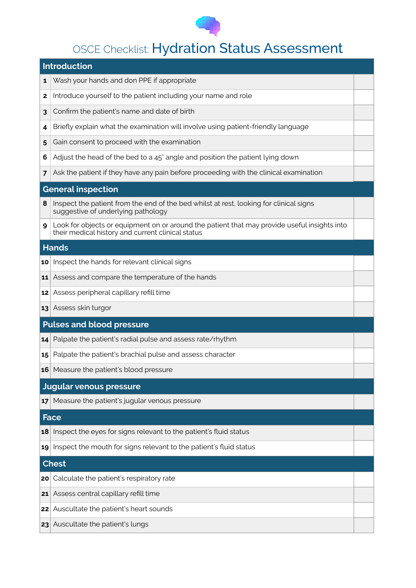

## OSCE Checklist: Hydration Status Assessment

| <b>Introduction</b>              |                                                                                                                                                   |  |  |
|----------------------------------|---------------------------------------------------------------------------------------------------------------------------------------------------|--|--|
| 1                                | Wash your hands and don PPE if appropriate                                                                                                        |  |  |
| 2                                | Introduce yourself to the patient including your name and role                                                                                    |  |  |
| 3                                | Confirm the patient's name and date of birth                                                                                                      |  |  |
| 4                                | Briefly explain what the examination will involve using patient-friendly language                                                                 |  |  |
| 5                                | Gain consent to proceed with the examination                                                                                                      |  |  |
| 6                                | Adjust the head of the bed to a 45° angle and position the patient lying down                                                                     |  |  |
| 7                                | Ask the patient if they have any pain before proceeding with the clinical examination                                                             |  |  |
| <b>General inspection</b>        |                                                                                                                                                   |  |  |
| 8                                | Inspect the patient from the end of the bed whilst at rest, looking for clinical signs<br>suggestive of underlying pathology                      |  |  |
| 9                                | Look for objects or equipment on or around the patient that may provide useful insights into<br>their medical history and current clinical status |  |  |
| <b>Hands</b>                     |                                                                                                                                                   |  |  |
| 10                               | Inspect the hands for relevant clinical signs                                                                                                     |  |  |
| 11                               | Assess and compare the temperature of the hands                                                                                                   |  |  |
| 12                               | Assess peripheral capillary refill time                                                                                                           |  |  |
| 13                               | Assess skin turgor                                                                                                                                |  |  |
| <b>Pulses and blood pressure</b> |                                                                                                                                                   |  |  |
| 14                               | Palpate the patient's radial pulse and assess rate/rhythm                                                                                         |  |  |
| 15                               | Palpate the patient's brachial pulse and assess character                                                                                         |  |  |
|                                  | 16 Measure the patient's blood pressure                                                                                                           |  |  |
|                                  | <b>Jugular venous pressure</b>                                                                                                                    |  |  |
| 17                               | Measure the patient's jugular venous pressure                                                                                                     |  |  |
| <b>Face</b>                      |                                                                                                                                                   |  |  |
| 18                               | Inspect the eyes for signs relevant to the patient's fluid status                                                                                 |  |  |
| 19                               | Inspect the mouth for signs relevant to the patient's fluid status                                                                                |  |  |
| <b>Chest</b>                     |                                                                                                                                                   |  |  |
| 20                               | Calculate the patient's respiratory rate                                                                                                          |  |  |
| 21                               | Assess central capillary refill time                                                                                                              |  |  |
| 22                               | Auscultate the patient's heart sounds                                                                                                             |  |  |
| 23                               | Auscultate the patient's lungs                                                                                                                    |  |  |